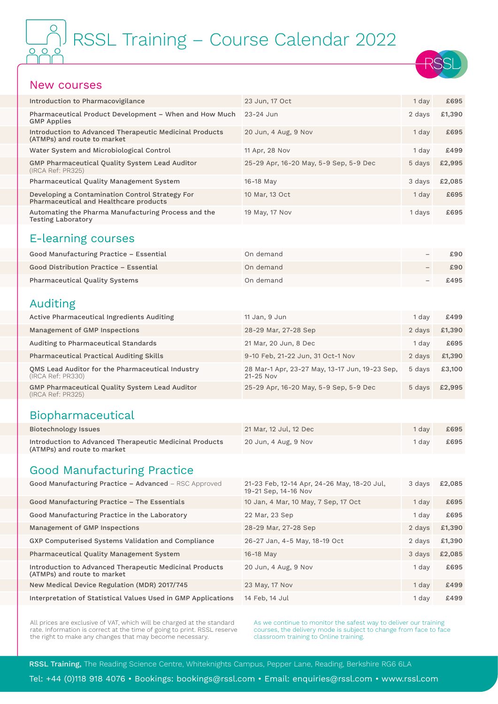# RSSL Training – Course Calendar 2022

#### New courses

| 23 Jun, 17 Oct                         | 1 day  | £695   |
|----------------------------------------|--------|--------|
| $23-24$ Jun                            | 2 days | £1,390 |
| 20 Jun, 4 Aug, 9 Nov                   | 1 day  | £695   |
| 11 Apr, 28 Nov                         | 1 day  | £499   |
| 25-29 Apr, 16-20 May, 5-9 Sep, 5-9 Dec | 5 days | £2,995 |
| 16-18 May                              | 3 days | £2,085 |
| 10 Mar, 13 Oct                         | 1 day  | £695   |
| 19 May, 17 Nov                         | 1 days | £695   |
|                                        |        |        |

#### E-learning courses

| Good Manufacturing Practice - Essential | On demand | $\qquad \qquad \blacksquare$ | £90  |
|-----------------------------------------|-----------|------------------------------|------|
| Good Distribution Practice - Essential  | On demand |                              | £90  |
| <b>Pharmaceutical Quality Systems</b>   | On demand |                              | £495 |

#### Auditing

| Active Pharmaceutical Ingredients Auditing                                 | 11 Jan, 9 Jun                                                   | 1 dav  | £499   |
|----------------------------------------------------------------------------|-----------------------------------------------------------------|--------|--------|
| Management of GMP Inspections                                              | 28-29 Mar, 27-28 Sep                                            | 2 days | £1,390 |
| Auditing to Pharmaceutical Standards                                       | 21 Mar, 20 Jun, 8 Dec                                           | 1 dav  | £695   |
| <b>Pharmaceutical Practical Auditing Skills</b>                            | 9-10 Feb, 21-22 Jun, 31 Oct-1 Nov                               | 2 days | £1,390 |
| OMS Lead Auditor for the Pharmaceutical Industry<br>(IRCA Ref: PR330)      | 28 Mar-1 Apr, 23-27 May, 13-17 Jun, 19-23 Sep,<br>$21 - 25$ Nov | 5 davs | £3,100 |
| <b>GMP Pharmaceutical Quality System Lead Auditor</b><br>(IRCA Ref: PR325) | 25-29 Apr, 16-20 May, 5-9 Sep, 5-9 Dec                          | 5 days | £2,995 |

#### Biopharmaceutical

| Biotechnology Issues                                                                   | 21 Mar. 12 Jul. 12 Dec | $1$ day          | £695 |
|----------------------------------------------------------------------------------------|------------------------|------------------|------|
| Introduction to Advanced Therapeutic Medicinal Products<br>(ATMPs) and route to market | 20 Jun, 4 Aug, 9 Nov   | <sup>1</sup> day | £695 |

#### Good Manufacturing Practice

| <b>Good Manufacturing Practice - Advanced - RSC Approved</b>                           | 21-23 Feb, 12-14 Apr, 24-26 May, 18-20 Jul,<br>19-21 Sep, 14-16 Nov | 3 days | £2,085 |
|----------------------------------------------------------------------------------------|---------------------------------------------------------------------|--------|--------|
| Good Manufacturing Practice - The Essentials                                           | 10 Jan, 4 Mar, 10 May, 7 Sep, 17 Oct                                | 1 day  | £695   |
| Good Manufacturing Practice in the Laboratory                                          | 22 Mar, 23 Sep                                                      | 1 day  | £695   |
| Management of GMP Inspections                                                          | 28-29 Mar, 27-28 Sep                                                | 2 days | £1,390 |
| GXP Computerised Systems Validation and Compliance                                     | 26-27 Jan, 4-5 May, 18-19 Oct                                       | 2 days | £1,390 |
| Pharmaceutical Quality Management System                                               | 16-18 May                                                           | 3 days | £2,085 |
| Introduction to Advanced Therapeutic Medicinal Products<br>(ATMPs) and route to market | 20 Jun, 4 Aug, 9 Nov                                                | 1 day  | £695   |
| New Medical Device Regulation (MDR) 2017/745                                           | 23 May, 17 Nov                                                      | 1 day  | £499   |
| Interpretation of Statistical Values Used in GMP Applications                          | 14 Feb. 14 Jul                                                      | 1 dav  | £499   |

All prices are exclusive of VAT, which will be charged at the standard rate. Information is correct at the time of going to print. RSSL reserve the right to make any changes that may become necessary.

As we continue to monitor the safest way to deliver our training courses, the delivery mode is subject to change from face to face classroom training to Online training.

RSSL Training, The Reading Science Centre, Whiteknights Campus, Pepper Lane, Reading, Berkshire RG6 6LA

Tel: +44 (0)118 918 4076 • Bookings: [bookings@rssl.com](mailto:bookings%40rssl.com?subject=) • Email: [enquiries@rssl.com](mailto:enquiries%40rssl.com?subject=) • [www.rssl.com](https://www.rssl.com)